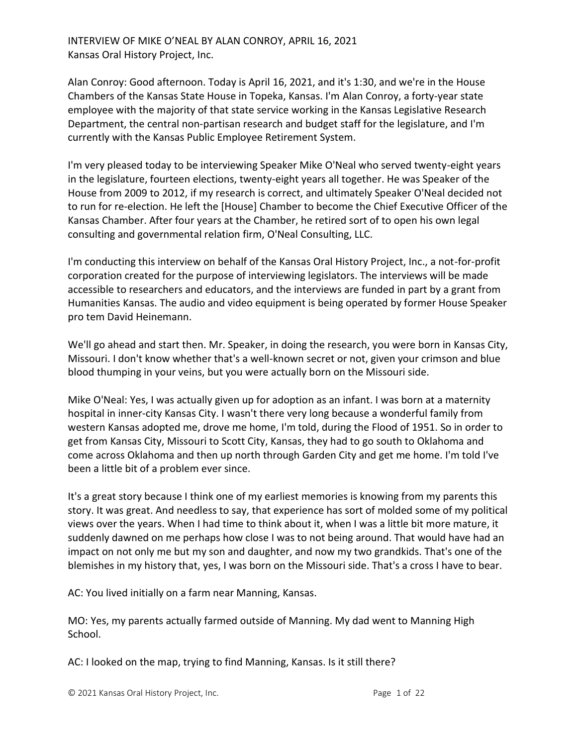INTERVIEW OF MIKE O'NEAL BY ALAN CONROY, APRIL 16, 2021 Kansas Oral History Project, Inc.

Alan Conroy: Good afternoon. Today is April 16, 2021, and it's 1:30, and we're in the House Chambers of the Kansas State House in Topeka, Kansas. I'm Alan Conroy, a forty-year state employee with the majority of that state service working in the Kansas Legislative Research Department, the central non-partisan research and budget staff for the legislature, and I'm currently with the Kansas Public Employee Retirement System.

I'm very pleased today to be interviewing Speaker Mike O'Neal who served twenty-eight years in the legislature, fourteen elections, twenty-eight years all together. He was Speaker of the House from 2009 to 2012, if my research is correct, and ultimately Speaker O'Neal decided not to run for re-election. He left the [House] Chamber to become the Chief Executive Officer of the Kansas Chamber. After four years at the Chamber, he retired sort of to open his own legal consulting and governmental relation firm, O'Neal Consulting, LLC.

I'm conducting this interview on behalf of the Kansas Oral History Project, Inc., a not-for-profit corporation created for the purpose of interviewing legislators. The interviews will be made accessible to researchers and educators, and the interviews are funded in part by a grant from Humanities Kansas. The audio and video equipment is being operated by former House Speaker pro tem David Heinemann.

We'll go ahead and start then. Mr. Speaker, in doing the research, you were born in Kansas City, Missouri. I don't know whether that's a well-known secret or not, given your crimson and blue blood thumping in your veins, but you were actually born on the Missouri side.

Mike O'Neal: Yes, I was actually given up for adoption as an infant. I was born at a maternity hospital in inner-city Kansas City. I wasn't there very long because a wonderful family from western Kansas adopted me, drove me home, I'm told, during the Flood of 1951. So in order to get from Kansas City, Missouri to Scott City, Kansas, they had to go south to Oklahoma and come across Oklahoma and then up north through Garden City and get me home. I'm told I've been a little bit of a problem ever since.

It's a great story because I think one of my earliest memories is knowing from my parents this story. It was great. And needless to say, that experience has sort of molded some of my political views over the years. When I had time to think about it, when I was a little bit more mature, it suddenly dawned on me perhaps how close I was to not being around. That would have had an impact on not only me but my son and daughter, and now my two grandkids. That's one of the blemishes in my history that, yes, I was born on the Missouri side. That's a cross I have to bear.

AC: You lived initially on a farm near Manning, Kansas.

MO: Yes, my parents actually farmed outside of Manning. My dad went to Manning High School.

AC: I looked on the map, trying to find Manning, Kansas. Is it still there?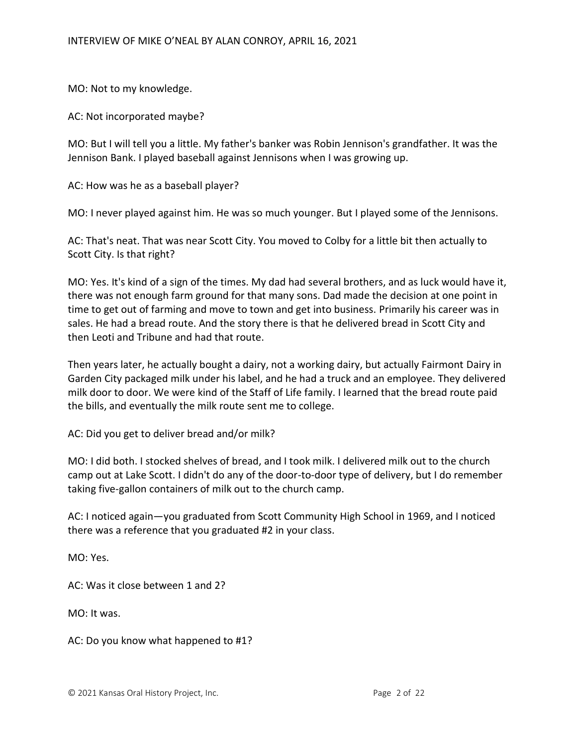MO: Not to my knowledge.

AC: Not incorporated maybe?

MO: But I will tell you a little. My father's banker was Robin Jennison's grandfather. It was the Jennison Bank. I played baseball against Jennisons when I was growing up.

AC: How was he as a baseball player?

MO: I never played against him. He was so much younger. But I played some of the Jennisons.

AC: That's neat. That was near Scott City. You moved to Colby for a little bit then actually to Scott City. Is that right?

MO: Yes. It's kind of a sign of the times. My dad had several brothers, and as luck would have it, there was not enough farm ground for that many sons. Dad made the decision at one point in time to get out of farming and move to town and get into business. Primarily his career was in sales. He had a bread route. And the story there is that he delivered bread in Scott City and then Leoti and Tribune and had that route.

Then years later, he actually bought a dairy, not a working dairy, but actually Fairmont Dairy in Garden City packaged milk under his label, and he had a truck and an employee. They delivered milk door to door. We were kind of the Staff of Life family. I learned that the bread route paid the bills, and eventually the milk route sent me to college.

AC: Did you get to deliver bread and/or milk?

MO: I did both. I stocked shelves of bread, and I took milk. I delivered milk out to the church camp out at Lake Scott. I didn't do any of the door-to-door type of delivery, but I do remember taking five-gallon containers of milk out to the church camp.

AC: I noticed again—you graduated from Scott Community High School in 1969, and I noticed there was a reference that you graduated #2 in your class.

MO: Yes.

AC: Was it close between 1 and 2?

MO: It was.

AC: Do you know what happened to #1?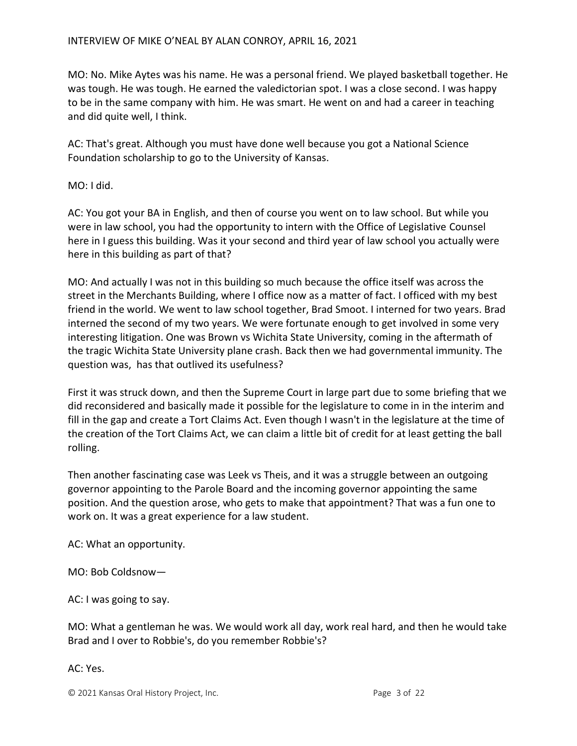MO: No. Mike Aytes was his name. He was a personal friend. We played basketball together. He was tough. He was tough. He earned the valedictorian spot. I was a close second. I was happy to be in the same company with him. He was smart. He went on and had a career in teaching and did quite well, I think.

AC: That's great. Although you must have done well because you got a National Science Foundation scholarship to go to the University of Kansas.

MO: I did.

AC: You got your BA in English, and then of course you went on to law school. But while you were in law school, you had the opportunity to intern with the Office of Legislative Counsel here in I guess this building. Was it your second and third year of law school you actually were here in this building as part of that?

MO: And actually I was not in this building so much because the office itself was across the street in the Merchants Building, where I office now as a matter of fact. I officed with my best friend in the world. We went to law school together, Brad Smoot. I interned for two years. Brad interned the second of my two years. We were fortunate enough to get involved in some very interesting litigation. One was Brown vs Wichita State University, coming in the aftermath of the tragic Wichita State University plane crash. Back then we had governmental immunity. The question was, has that outlived its usefulness?

First it was struck down, and then the Supreme Court in large part due to some briefing that we did reconsidered and basically made it possible for the legislature to come in in the interim and fill in the gap and create a Tort Claims Act. Even though I wasn't in the legislature at the time of the creation of the Tort Claims Act, we can claim a little bit of credit for at least getting the ball rolling.

Then another fascinating case was Leek vs Theis, and it was a struggle between an outgoing governor appointing to the Parole Board and the incoming governor appointing the same position. And the question arose, who gets to make that appointment? That was a fun one to work on. It was a great experience for a law student.

AC: What an opportunity.

MO: Bob Coldsnow—

AC: I was going to say.

MO: What a gentleman he was. We would work all day, work real hard, and then he would take Brad and I over to Robbie's, do you remember Robbie's?

AC: Yes.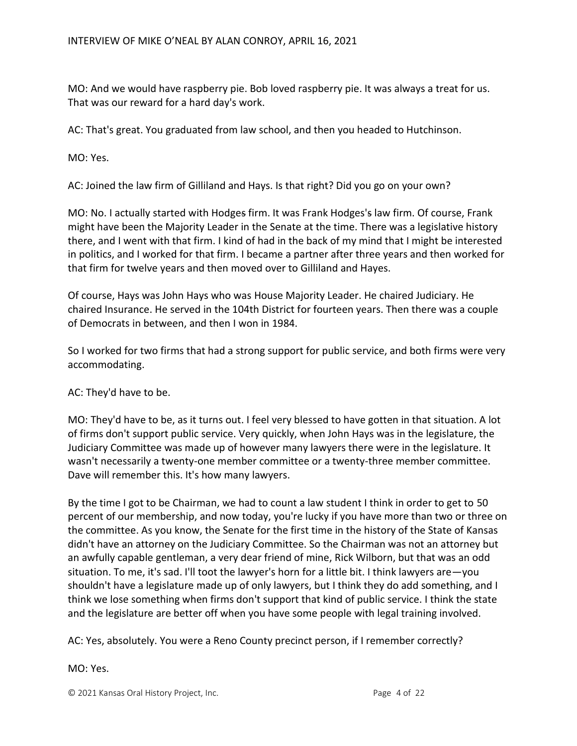MO: And we would have raspberry pie. Bob loved raspberry pie. It was always a treat for us. That was our reward for a hard day's work.

AC: That's great. You graduated from law school, and then you headed to Hutchinson.

MO: Yes.

AC: Joined the law firm of Gilliland and Hays. Is that right? Did you go on your own?

MO: No. I actually started with Hodges firm. It was Frank Hodges's law firm. Of course, Frank might have been the Majority Leader in the Senate at the time. There was a legislative history there, and I went with that firm. I kind of had in the back of my mind that I might be interested in politics, and I worked for that firm. I became a partner after three years and then worked for that firm for twelve years and then moved over to Gilliland and Hayes.

Of course, Hays was John Hays who was House Majority Leader. He chaired Judiciary. He chaired Insurance. He served in the 104th District for fourteen years. Then there was a couple of Democrats in between, and then I won in 1984.

So I worked for two firms that had a strong support for public service, and both firms were very accommodating.

AC: They'd have to be.

MO: They'd have to be, as it turns out. I feel very blessed to have gotten in that situation. A lot of firms don't support public service. Very quickly, when John Hays was in the legislature, the Judiciary Committee was made up of however many lawyers there were in the legislature. It wasn't necessarily a twenty-one member committee or a twenty-three member committee. Dave will remember this. It's how many lawyers.

By the time I got to be Chairman, we had to count a law student I think in order to get to 50 percent of our membership, and now today, you're lucky if you have more than two or three on the committee. As you know, the Senate for the first time in the history of the State of Kansas didn't have an attorney on the Judiciary Committee. So the Chairman was not an attorney but an awfully capable gentleman, a very dear friend of mine, Rick Wilborn, but that was an odd situation. To me, it's sad. I'll toot the lawyer's horn for a little bit. I think lawyers are—you shouldn't have a legislature made up of only lawyers, but I think they do add something, and I think we lose something when firms don't support that kind of public service. I think the state and the legislature are better off when you have some people with legal training involved.

AC: Yes, absolutely. You were a Reno County precinct person, if I remember correctly?

MO: Yes.

© 2021 Kansas Oral History Project, Inc. Page 4 of 22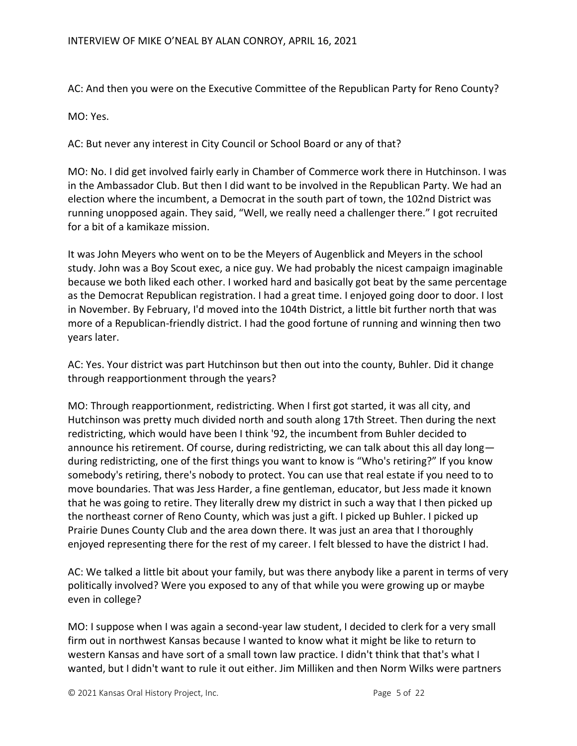AC: And then you were on the Executive Committee of the Republican Party for Reno County?

MO: Yes.

AC: But never any interest in City Council or School Board or any of that?

MO: No. I did get involved fairly early in Chamber of Commerce work there in Hutchinson. I was in the Ambassador Club. But then I did want to be involved in the Republican Party. We had an election where the incumbent, a Democrat in the south part of town, the 102nd District was running unopposed again. They said, "Well, we really need a challenger there." I got recruited for a bit of a kamikaze mission.

It was John Meyers who went on to be the Meyers of Augenblick and Meyers in the school study. John was a Boy Scout exec, a nice guy. We had probably the nicest campaign imaginable because we both liked each other. I worked hard and basically got beat by the same percentage as the Democrat Republican registration. I had a great time. I enjoyed going door to door. I lost in November. By February, I'd moved into the 104th District, a little bit further north that was more of a Republican-friendly district. I had the good fortune of running and winning then two years later.

AC: Yes. Your district was part Hutchinson but then out into the county, Buhler. Did it change through reapportionment through the years?

MO: Through reapportionment, redistricting. When I first got started, it was all city, and Hutchinson was pretty much divided north and south along 17th Street. Then during the next redistricting, which would have been I think '92, the incumbent from Buhler decided to announce his retirement. Of course, during redistricting, we can talk about this all day long during redistricting, one of the first things you want to know is "Who's retiring?" If you know somebody's retiring, there's nobody to protect. You can use that real estate if you need to to move boundaries. That was Jess Harder, a fine gentleman, educator, but Jess made it known that he was going to retire. They literally drew my district in such a way that I then picked up the northeast corner of Reno County, which was just a gift. I picked up Buhler. I picked up Prairie Dunes County Club and the area down there. It was just an area that I thoroughly enjoyed representing there for the rest of my career. I felt blessed to have the district I had.

AC: We talked a little bit about your family, but was there anybody like a parent in terms of very politically involved? Were you exposed to any of that while you were growing up or maybe even in college?

MO: I suppose when I was again a second-year law student, I decided to clerk for a very small firm out in northwest Kansas because I wanted to know what it might be like to return to western Kansas and have sort of a small town law practice. I didn't think that that's what I wanted, but I didn't want to rule it out either. Jim Milliken and then Norm Wilks were partners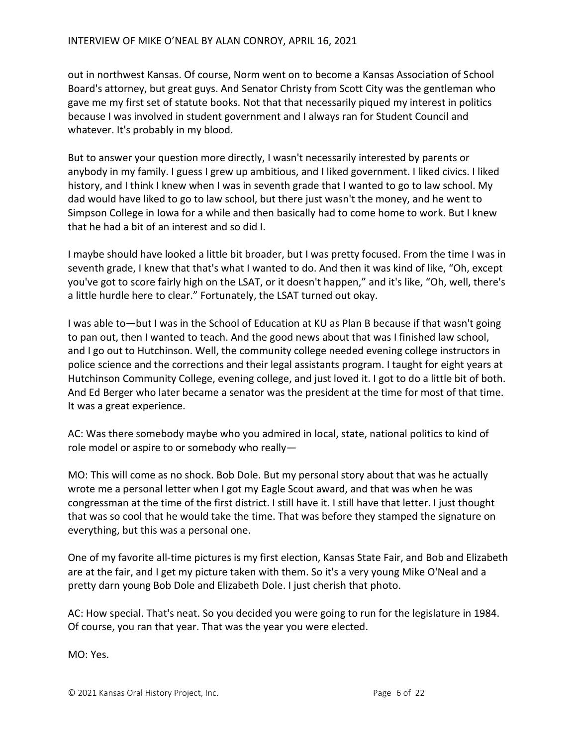out in northwest Kansas. Of course, Norm went on to become a Kansas Association of School Board's attorney, but great guys. And Senator Christy from Scott City was the gentleman who gave me my first set of statute books. Not that that necessarily piqued my interest in politics because I was involved in student government and I always ran for Student Council and whatever. It's probably in my blood.

But to answer your question more directly, I wasn't necessarily interested by parents or anybody in my family. I guess I grew up ambitious, and I liked government. I liked civics. I liked history, and I think I knew when I was in seventh grade that I wanted to go to law school. My dad would have liked to go to law school, but there just wasn't the money, and he went to Simpson College in Iowa for a while and then basically had to come home to work. But I knew that he had a bit of an interest and so did I.

I maybe should have looked a little bit broader, but I was pretty focused. From the time I was in seventh grade, I knew that that's what I wanted to do. And then it was kind of like, "Oh, except you've got to score fairly high on the LSAT, or it doesn't happen," and it's like, "Oh, well, there's a little hurdle here to clear." Fortunately, the LSAT turned out okay.

I was able to—but I was in the School of Education at KU as Plan B because if that wasn't going to pan out, then I wanted to teach. And the good news about that was I finished law school, and I go out to Hutchinson. Well, the community college needed evening college instructors in police science and the corrections and their legal assistants program. I taught for eight years at Hutchinson Community College, evening college, and just loved it. I got to do a little bit of both. And Ed Berger who later became a senator was the president at the time for most of that time. It was a great experience.

AC: Was there somebody maybe who you admired in local, state, national politics to kind of role model or aspire to or somebody who really—

MO: This will come as no shock. Bob Dole. But my personal story about that was he actually wrote me a personal letter when I got my Eagle Scout award, and that was when he was congressman at the time of the first district. I still have it. I still have that letter. I just thought that was so cool that he would take the time. That was before they stamped the signature on everything, but this was a personal one.

One of my favorite all-time pictures is my first election, Kansas State Fair, and Bob and Elizabeth are at the fair, and I get my picture taken with them. So it's a very young Mike O'Neal and a pretty darn young Bob Dole and Elizabeth Dole. I just cherish that photo.

AC: How special. That's neat. So you decided you were going to run for the legislature in 1984. Of course, you ran that year. That was the year you were elected.

MO: Yes.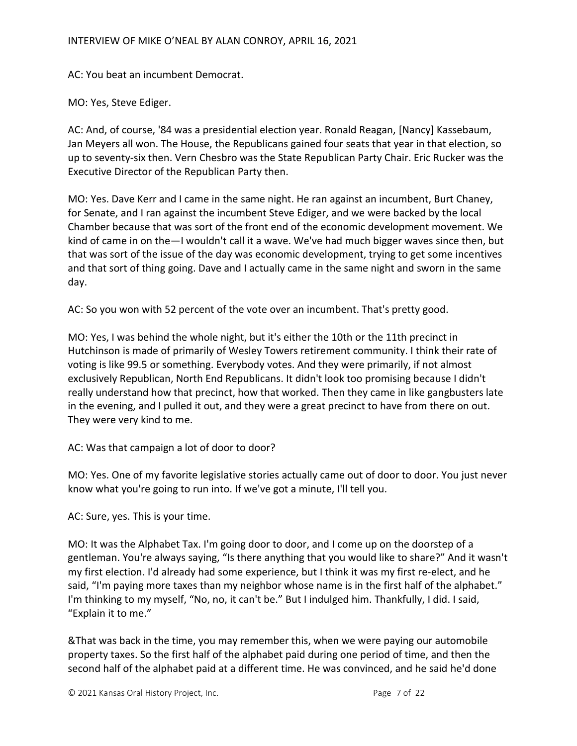## INTERVIEW OF MIKE O'NEAL BY ALAN CONROY, APRIL 16, 2021

AC: You beat an incumbent Democrat.

MO: Yes, Steve Ediger.

AC: And, of course, '84 was a presidential election year. Ronald Reagan, [Nancy] Kassebaum, Jan Meyers all won. The House, the Republicans gained four seats that year in that election, so up to seventy-six then. Vern Chesbro was the State Republican Party Chair. Eric Rucker was the Executive Director of the Republican Party then.

MO: Yes. Dave Kerr and I came in the same night. He ran against an incumbent, Burt Chaney, for Senate, and I ran against the incumbent Steve Ediger, and we were backed by the local Chamber because that was sort of the front end of the economic development movement. We kind of came in on the—I wouldn't call it a wave. We've had much bigger waves since then, but that was sort of the issue of the day was economic development, trying to get some incentives and that sort of thing going. Dave and I actually came in the same night and sworn in the same day.

AC: So you won with 52 percent of the vote over an incumbent. That's pretty good.

MO: Yes, I was behind the whole night, but it's either the 10th or the 11th precinct in Hutchinson is made of primarily of Wesley Towers retirement community. I think their rate of voting is like 99.5 or something. Everybody votes. And they were primarily, if not almost exclusively Republican, North End Republicans. It didn't look too promising because I didn't really understand how that precinct, how that worked. Then they came in like gangbusters late in the evening, and I pulled it out, and they were a great precinct to have from there on out. They were very kind to me.

AC: Was that campaign a lot of door to door?

MO: Yes. One of my favorite legislative stories actually came out of door to door. You just never know what you're going to run into. If we've got a minute, I'll tell you.

AC: Sure, yes. This is your time.

MO: It was the Alphabet Tax. I'm going door to door, and I come up on the doorstep of a gentleman. You're always saying, "Is there anything that you would like to share?" And it wasn't my first election. I'd already had some experience, but I think it was my first re-elect, and he said, "I'm paying more taxes than my neighbor whose name is in the first half of the alphabet." I'm thinking to my myself, "No, no, it can't be." But I indulged him. Thankfully, I did. I said, "Explain it to me."

&That was back in the time, you may remember this, when we were paying our automobile property taxes. So the first half of the alphabet paid during one period of time, and then the second half of the alphabet paid at a different time. He was convinced, and he said he'd done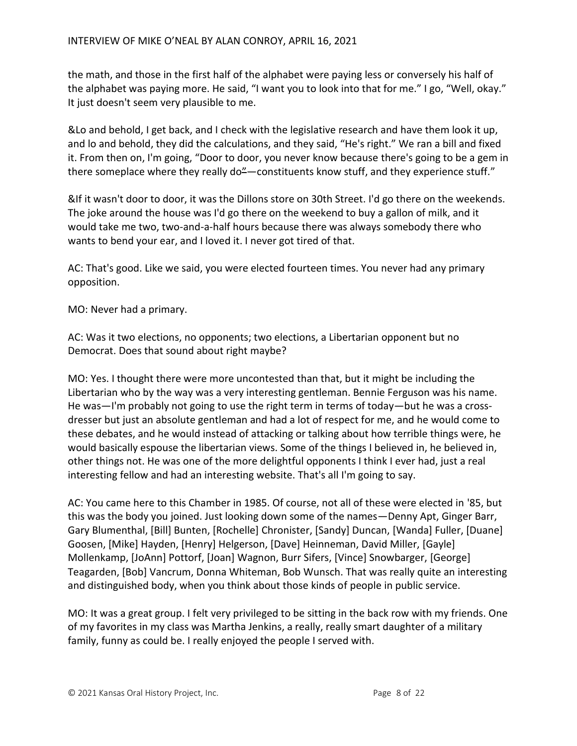the math, and those in the first half of the alphabet were paying less or conversely his half of the alphabet was paying more. He said, "I want you to look into that for me." I go, "Well, okay." It just doesn't seem very plausible to me.

&Lo and behold, I get back, and I check with the legislative research and have them look it up, and lo and behold, they did the calculations, and they said, "He's right." We ran a bill and fixed it. From then on, I'm going, "Door to door, you never know because there's going to be a gem in there someplace where they really do"—constituents know stuff, and they experience stuff."

&If it wasn't door to door, it was the Dillons store on 30th Street. I'd go there on the weekends. The joke around the house was I'd go there on the weekend to buy a gallon of milk, and it would take me two, two-and-a-half hours because there was always somebody there who wants to bend your ear, and I loved it. I never got tired of that.

AC: That's good. Like we said, you were elected fourteen times. You never had any primary opposition.

MO: Never had a primary.

AC: Was it two elections, no opponents; two elections, a Libertarian opponent but no Democrat. Does that sound about right maybe?

MO: Yes. I thought there were more uncontested than that, but it might be including the Libertarian who by the way was a very interesting gentleman. Bennie Ferguson was his name. He was—I'm probably not going to use the right term in terms of today—but he was a crossdresser but just an absolute gentleman and had a lot of respect for me, and he would come to these debates, and he would instead of attacking or talking about how terrible things were, he would basically espouse the libertarian views. Some of the things I believed in, he believed in, other things not. He was one of the more delightful opponents I think I ever had, just a real interesting fellow and had an interesting website. That's all I'm going to say.

AC: You came here to this Chamber in 1985. Of course, not all of these were elected in '85, but this was the body you joined. Just looking down some of the names—Denny Apt, Ginger Barr, Gary Blumenthal, [Bill] Bunten, [Rochelle] Chronister, [Sandy] Duncan, [Wanda] Fuller, [Duane] Goosen, [Mike] Hayden, [Henry] Helgerson, [Dave] Heinneman, David Miller, [Gayle] Mollenkamp, [JoAnn] Pottorf, [Joan] Wagnon, Burr Sifers, [Vince] Snowbarger, [George] Teagarden, [Bob] Vancrum, Donna Whiteman, Bob Wunsch. That was really quite an interesting and distinguished body, when you think about those kinds of people in public service.

MO: It was a great group. I felt very privileged to be sitting in the back row with my friends. One of my favorites in my class was Martha Jenkins, a really, really smart daughter of a military family, funny as could be. I really enjoyed the people I served with.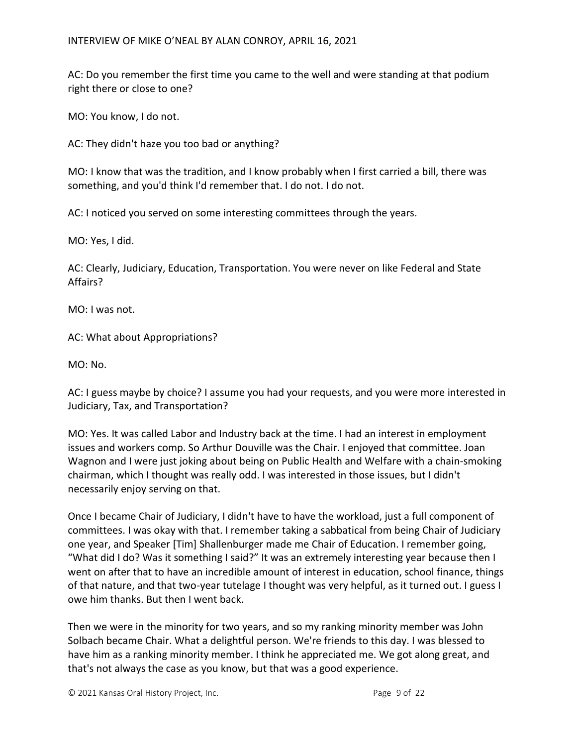AC: Do you remember the first time you came to the well and were standing at that podium right there or close to one?

MO: You know, I do not.

AC: They didn't haze you too bad or anything?

MO: I know that was the tradition, and I know probably when I first carried a bill, there was something, and you'd think I'd remember that. I do not. I do not.

AC: I noticed you served on some interesting committees through the years.

MO: Yes, I did.

AC: Clearly, Judiciary, Education, Transportation. You were never on like Federal and State Affairs?

MO: I was not.

AC: What about Appropriations?

MO: No.

AC: I guess maybe by choice? I assume you had your requests, and you were more interested in Judiciary, Tax, and Transportation?

MO: Yes. It was called Labor and Industry back at the time. I had an interest in employment issues and workers comp. So Arthur Douville was the Chair. I enjoyed that committee. Joan Wagnon and I were just joking about being on Public Health and Welfare with a chain-smoking chairman, which I thought was really odd. I was interested in those issues, but I didn't necessarily enjoy serving on that.

Once I became Chair of Judiciary, I didn't have to have the workload, just a full component of committees. I was okay with that. I remember taking a sabbatical from being Chair of Judiciary one year, and Speaker [Tim] Shallenburger made me Chair of Education. I remember going, "What did I do? Was it something I said?" It was an extremely interesting year because then I went on after that to have an incredible amount of interest in education, school finance, things of that nature, and that two-year tutelage I thought was very helpful, as it turned out. I guess I owe him thanks. But then I went back.

Then we were in the minority for two years, and so my ranking minority member was John Solbach became Chair. What a delightful person. We're friends to this day. I was blessed to have him as a ranking minority member. I think he appreciated me. We got along great, and that's not always the case as you know, but that was a good experience.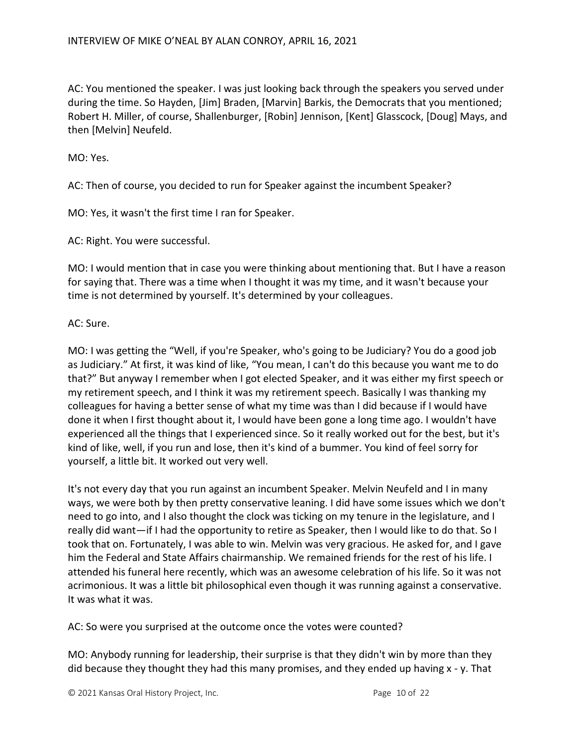AC: You mentioned the speaker. I was just looking back through the speakers you served under during the time. So Hayden, [Jim] Braden, [Marvin] Barkis, the Democrats that you mentioned; Robert H. Miller, of course, Shallenburger, [Robin] Jennison, [Kent] Glasscock, [Doug] Mays, and then [Melvin] Neufeld.

MO: Yes.

AC: Then of course, you decided to run for Speaker against the incumbent Speaker?

MO: Yes, it wasn't the first time I ran for Speaker.

AC: Right. You were successful.

MO: I would mention that in case you were thinking about mentioning that. But I have a reason for saying that. There was a time when I thought it was my time, and it wasn't because your time is not determined by yourself. It's determined by your colleagues.

AC: Sure.

MO: I was getting the "Well, if you're Speaker, who's going to be Judiciary? You do a good job as Judiciary." At first, it was kind of like, "You mean, I can't do this because you want me to do that?" But anyway I remember when I got elected Speaker, and it was either my first speech or my retirement speech, and I think it was my retirement speech. Basically I was thanking my colleagues for having a better sense of what my time was than I did because if I would have done it when I first thought about it, I would have been gone a long time ago. I wouldn't have experienced all the things that I experienced since. So it really worked out for the best, but it's kind of like, well, if you run and lose, then it's kind of a bummer. You kind of feel sorry for yourself, a little bit. It worked out very well.

It's not every day that you run against an incumbent Speaker. Melvin Neufeld and I in many ways, we were both by then pretty conservative leaning. I did have some issues which we don't need to go into, and I also thought the clock was ticking on my tenure in the legislature, and I really did want—if I had the opportunity to retire as Speaker, then I would like to do that. So I took that on. Fortunately, I was able to win. Melvin was very gracious. He asked for, and I gave him the Federal and State Affairs chairmanship. We remained friends for the rest of his life. I attended his funeral here recently, which was an awesome celebration of his life. So it was not acrimonious. It was a little bit philosophical even though it was running against a conservative. It was what it was.

AC: So were you surprised at the outcome once the votes were counted?

MO: Anybody running for leadership, their surprise is that they didn't win by more than they did because they thought they had this many promises, and they ended up having x - y. That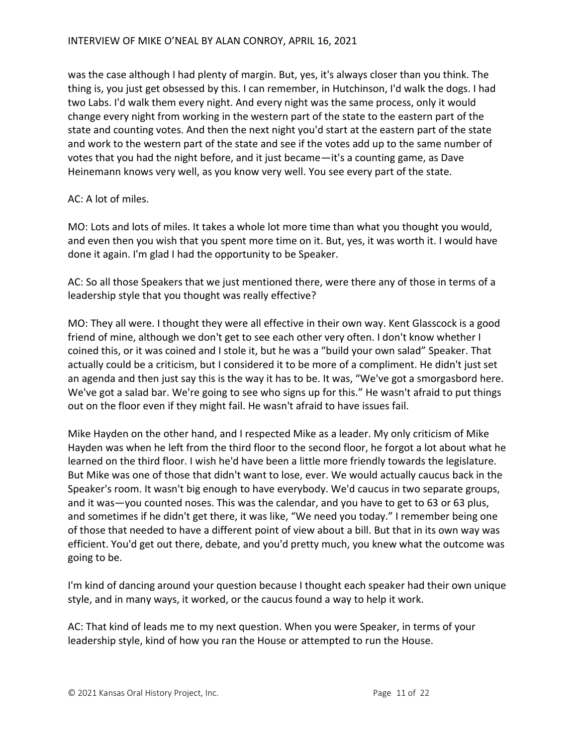was the case although I had plenty of margin. But, yes, it's always closer than you think. The thing is, you just get obsessed by this. I can remember, in Hutchinson, I'd walk the dogs. I had two Labs. I'd walk them every night. And every night was the same process, only it would change every night from working in the western part of the state to the eastern part of the state and counting votes. And then the next night you'd start at the eastern part of the state and work to the western part of the state and see if the votes add up to the same number of votes that you had the night before, and it just became—it's a counting game, as Dave Heinemann knows very well, as you know very well. You see every part of the state.

## AC: A lot of miles.

MO: Lots and lots of miles. It takes a whole lot more time than what you thought you would, and even then you wish that you spent more time on it. But, yes, it was worth it. I would have done it again. I'm glad I had the opportunity to be Speaker.

AC: So all those Speakers that we just mentioned there, were there any of those in terms of a leadership style that you thought was really effective?

MO: They all were. I thought they were all effective in their own way. Kent Glasscock is a good friend of mine, although we don't get to see each other very often. I don't know whether I coined this, or it was coined and I stole it, but he was a "build your own salad" Speaker. That actually could be a criticism, but I considered it to be more of a compliment. He didn't just set an agenda and then just say this is the way it has to be. It was, "We've got a smorgasbord here. We've got a salad bar. We're going to see who signs up for this." He wasn't afraid to put things out on the floor even if they might fail. He wasn't afraid to have issues fail.

Mike Hayden on the other hand, and I respected Mike as a leader. My only criticism of Mike Hayden was when he left from the third floor to the second floor, he forgot a lot about what he learned on the third floor. I wish he'd have been a little more friendly towards the legislature. But Mike was one of those that didn't want to lose, ever. We would actually caucus back in the Speaker's room. It wasn't big enough to have everybody. We'd caucus in two separate groups, and it was—you counted noses. This was the calendar, and you have to get to 63 or 63 plus, and sometimes if he didn't get there, it was like, "We need you today." I remember being one of those that needed to have a different point of view about a bill. But that in its own way was efficient. You'd get out there, debate, and you'd pretty much, you knew what the outcome was going to be.

I'm kind of dancing around your question because I thought each speaker had their own unique style, and in many ways, it worked, or the caucus found a way to help it work.

AC: That kind of leads me to my next question. When you were Speaker, in terms of your leadership style, kind of how you ran the House or attempted to run the House.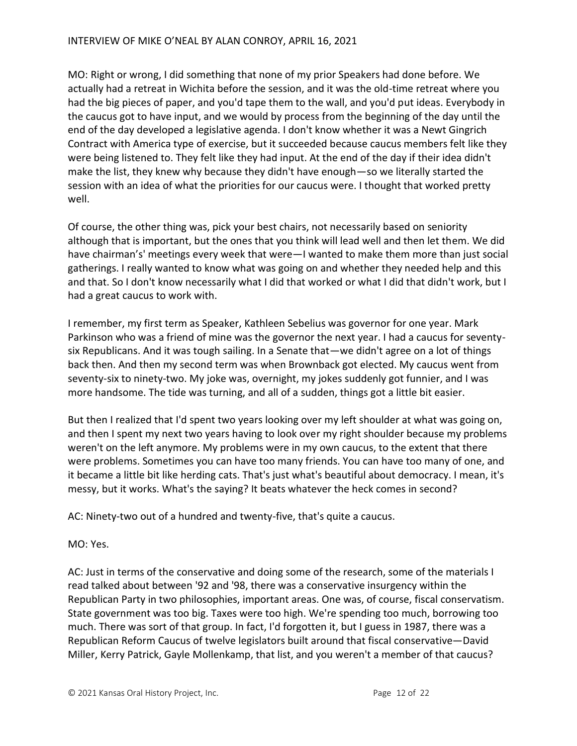MO: Right or wrong, I did something that none of my prior Speakers had done before. We actually had a retreat in Wichita before the session, and it was the old-time retreat where you had the big pieces of paper, and you'd tape them to the wall, and you'd put ideas. Everybody in the caucus got to have input, and we would by process from the beginning of the day until the end of the day developed a legislative agenda. I don't know whether it was a Newt Gingrich Contract with America type of exercise, but it succeeded because caucus members felt like they were being listened to. They felt like they had input. At the end of the day if their idea didn't make the list, they knew why because they didn't have enough—so we literally started the session with an idea of what the priorities for our caucus were. I thought that worked pretty well.

Of course, the other thing was, pick your best chairs, not necessarily based on seniority although that is important, but the ones that you think will lead well and then let them. We did have chairman's' meetings every week that were—I wanted to make them more than just social gatherings. I really wanted to know what was going on and whether they needed help and this and that. So I don't know necessarily what I did that worked or what I did that didn't work, but I had a great caucus to work with.

I remember, my first term as Speaker, Kathleen Sebelius was governor for one year. Mark Parkinson who was a friend of mine was the governor the next year. I had a caucus for seventysix Republicans. And it was tough sailing. In a Senate that—we didn't agree on a lot of things back then. And then my second term was when Brownback got elected. My caucus went from seventy-six to ninety-two. My joke was, overnight, my jokes suddenly got funnier, and I was more handsome. The tide was turning, and all of a sudden, things got a little bit easier.

But then I realized that I'd spent two years looking over my left shoulder at what was going on, and then I spent my next two years having to look over my right shoulder because my problems weren't on the left anymore. My problems were in my own caucus, to the extent that there were problems. Sometimes you can have too many friends. You can have too many of one, and it became a little bit like herding cats. That's just what's beautiful about democracy. I mean, it's messy, but it works. What's the saying? It beats whatever the heck comes in second?

AC: Ninety-two out of a hundred and twenty-five, that's quite a caucus.

## MO: Yes.

AC: Just in terms of the conservative and doing some of the research, some of the materials I read talked about between '92 and '98, there was a conservative insurgency within the Republican Party in two philosophies, important areas. One was, of course, fiscal conservatism. State government was too big. Taxes were too high. We're spending too much, borrowing too much. There was sort of that group. In fact, I'd forgotten it, but I guess in 1987, there was a Republican Reform Caucus of twelve legislators built around that fiscal conservative—David Miller, Kerry Patrick, Gayle Mollenkamp, that list, and you weren't a member of that caucus?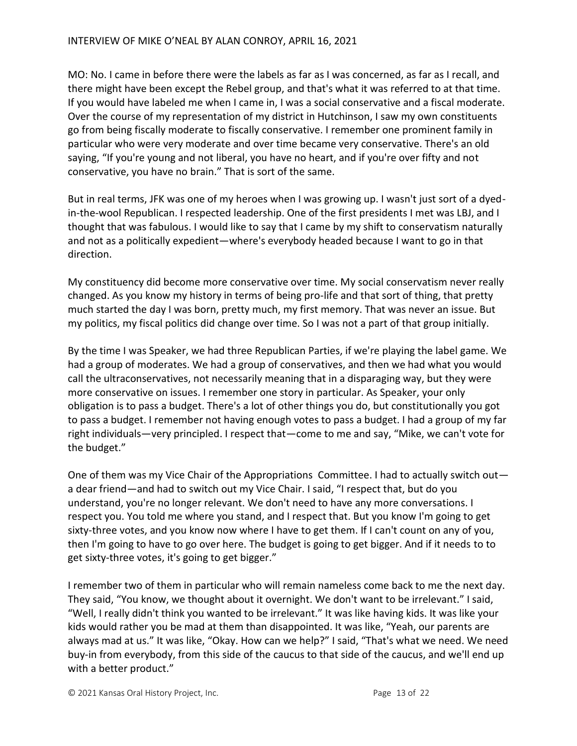MO: No. I came in before there were the labels as far as I was concerned, as far as I recall, and there might have been except the Rebel group, and that's what it was referred to at that time. If you would have labeled me when I came in, I was a social conservative and a fiscal moderate. Over the course of my representation of my district in Hutchinson, I saw my own constituents go from being fiscally moderate to fiscally conservative. I remember one prominent family in particular who were very moderate and over time became very conservative. There's an old saying, "If you're young and not liberal, you have no heart, and if you're over fifty and not conservative, you have no brain." That is sort of the same.

But in real terms, JFK was one of my heroes when I was growing up. I wasn't just sort of a dyedin-the-wool Republican. I respected leadership. One of the first presidents I met was LBJ, and I thought that was fabulous. I would like to say that I came by my shift to conservatism naturally and not as a politically expedient—where's everybody headed because I want to go in that direction.

My constituency did become more conservative over time. My social conservatism never really changed. As you know my history in terms of being pro-life and that sort of thing, that pretty much started the day I was born, pretty much, my first memory. That was never an issue. But my politics, my fiscal politics did change over time. So I was not a part of that group initially.

By the time I was Speaker, we had three Republican Parties, if we're playing the label game. We had a group of moderates. We had a group of conservatives, and then we had what you would call the ultraconservatives, not necessarily meaning that in a disparaging way, but they were more conservative on issues. I remember one story in particular. As Speaker, your only obligation is to pass a budget. There's a lot of other things you do, but constitutionally you got to pass a budget. I remember not having enough votes to pass a budget. I had a group of my far right individuals—very principled. I respect that—come to me and say, "Mike, we can't vote for the budget."

One of them was my Vice Chair of the Appropriations Committee. I had to actually switch out a dear friend—and had to switch out my Vice Chair. I said, "I respect that, but do you understand, you're no longer relevant. We don't need to have any more conversations. I respect you. You told me where you stand, and I respect that. But you know I'm going to get sixty-three votes, and you know now where I have to get them. If I can't count on any of you, then I'm going to have to go over here. The budget is going to get bigger. And if it needs to to get sixty-three votes, it's going to get bigger."

I remember two of them in particular who will remain nameless come back to me the next day. They said, "You know, we thought about it overnight. We don't want to be irrelevant." I said, "Well, I really didn't think you wanted to be irrelevant." It was like having kids. It was like your kids would rather you be mad at them than disappointed. It was like, "Yeah, our parents are always mad at us." It was like, "Okay. How can we help?" I said, "That's what we need. We need buy-in from everybody, from this side of the caucus to that side of the caucus, and we'll end up with a better product."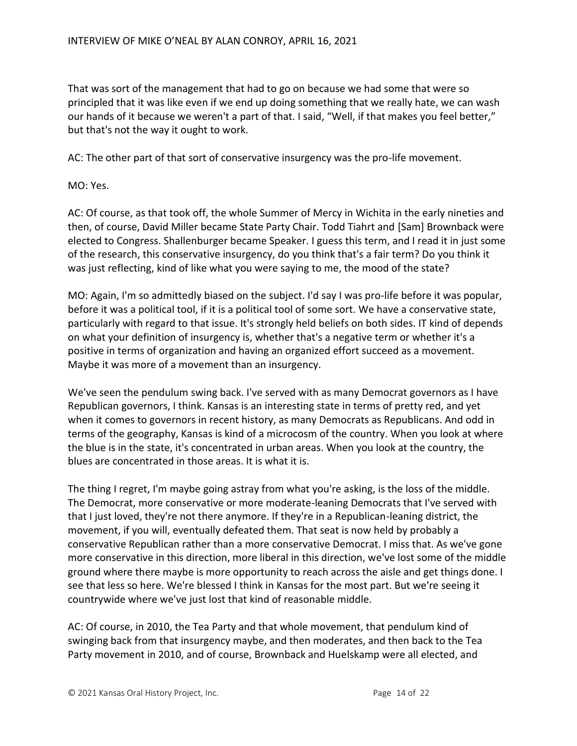That was sort of the management that had to go on because we had some that were so principled that it was like even if we end up doing something that we really hate, we can wash our hands of it because we weren't a part of that. I said, "Well, if that makes you feel better," but that's not the way it ought to work.

AC: The other part of that sort of conservative insurgency was the pro-life movement.

MO: Yes.

AC: Of course, as that took off, the whole Summer of Mercy in Wichita in the early nineties and then, of course, David Miller became State Party Chair. Todd Tiahrt and [Sam] Brownback were elected to Congress. Shallenburger became Speaker. I guess this term, and I read it in just some of the research, this conservative insurgency, do you think that's a fair term? Do you think it was just reflecting, kind of like what you were saying to me, the mood of the state?

MO: Again, I'm so admittedly biased on the subject. I'd say I was pro-life before it was popular, before it was a political tool, if it is a political tool of some sort. We have a conservative state, particularly with regard to that issue. It's strongly held beliefs on both sides. IT kind of depends on what your definition of insurgency is, whether that's a negative term or whether it's a positive in terms of organization and having an organized effort succeed as a movement. Maybe it was more of a movement than an insurgency.

We've seen the pendulum swing back. I've served with as many Democrat governors as I have Republican governors, I think. Kansas is an interesting state in terms of pretty red, and yet when it comes to governors in recent history, as many Democrats as Republicans. And odd in terms of the geography, Kansas is kind of a microcosm of the country. When you look at where the blue is in the state, it's concentrated in urban areas. When you look at the country, the blues are concentrated in those areas. It is what it is.

The thing I regret, I'm maybe going astray from what you're asking, is the loss of the middle. The Democrat, more conservative or more moderate-leaning Democrats that I've served with that I just loved, they're not there anymore. If they're in a Republican-leaning district, the movement, if you will, eventually defeated them. That seat is now held by probably a conservative Republican rather than a more conservative Democrat. I miss that. As we've gone more conservative in this direction, more liberal in this direction, we've lost some of the middle ground where there maybe is more opportunity to reach across the aisle and get things done. I see that less so here. We're blessed I think in Kansas for the most part. But we're seeing it countrywide where we've just lost that kind of reasonable middle.

AC: Of course, in 2010, the Tea Party and that whole movement, that pendulum kind of swinging back from that insurgency maybe, and then moderates, and then back to the Tea Party movement in 2010, and of course, Brownback and Huelskamp were all elected, and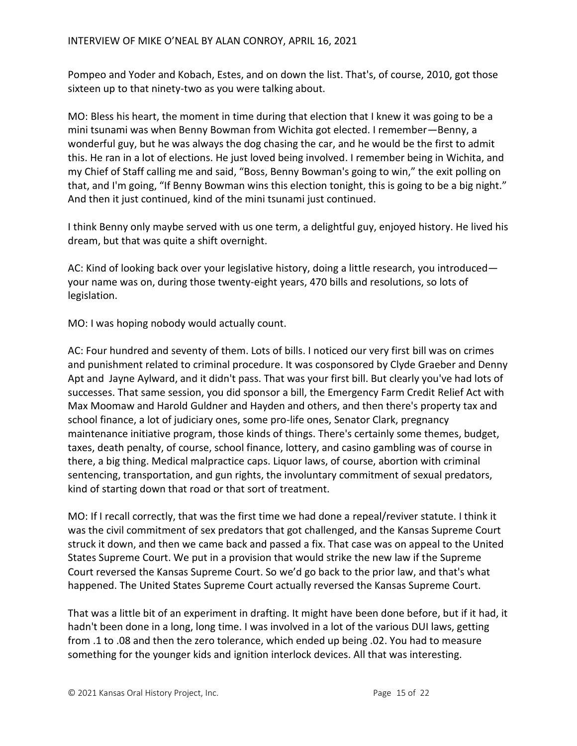Pompeo and Yoder and Kobach, Estes, and on down the list. That's, of course, 2010, got those sixteen up to that ninety-two as you were talking about.

MO: Bless his heart, the moment in time during that election that I knew it was going to be a mini tsunami was when Benny Bowman from Wichita got elected. I remember—Benny, a wonderful guy, but he was always the dog chasing the car, and he would be the first to admit this. He ran in a lot of elections. He just loved being involved. I remember being in Wichita, and my Chief of Staff calling me and said, "Boss, Benny Bowman's going to win," the exit polling on that, and I'm going, "If Benny Bowman wins this election tonight, this is going to be a big night." And then it just continued, kind of the mini tsunami just continued.

I think Benny only maybe served with us one term, a delightful guy, enjoyed history. He lived his dream, but that was quite a shift overnight.

AC: Kind of looking back over your legislative history, doing a little research, you introduced your name was on, during those twenty-eight years, 470 bills and resolutions, so lots of legislation.

MO: I was hoping nobody would actually count.

AC: Four hundred and seventy of them. Lots of bills. I noticed our very first bill was on crimes and punishment related to criminal procedure. It was cosponsored by Clyde Graeber and Denny Apt and Jayne Aylward, and it didn't pass. That was your first bill. But clearly you've had lots of successes. That same session, you did sponsor a bill, the Emergency Farm Credit Relief Act with Max Moomaw and Harold Guldner and Hayden and others, and then there's property tax and school finance, a lot of judiciary ones, some pro-life ones, Senator Clark, pregnancy maintenance initiative program, those kinds of things. There's certainly some themes, budget, taxes, death penalty, of course, school finance, lottery, and casino gambling was of course in there, a big thing. Medical malpractice caps. Liquor laws, of course, abortion with criminal sentencing, transportation, and gun rights, the involuntary commitment of sexual predators, kind of starting down that road or that sort of treatment.

MO: If I recall correctly, that was the first time we had done a repeal/reviver statute. I think it was the civil commitment of sex predators that got challenged, and the Kansas Supreme Court struck it down, and then we came back and passed a fix. That case was on appeal to the United States Supreme Court. We put in a provision that would strike the new law if the Supreme Court reversed the Kansas Supreme Court. So we'd go back to the prior law, and that's what happened. The United States Supreme Court actually reversed the Kansas Supreme Court.

That was a little bit of an experiment in drafting. It might have been done before, but if it had, it hadn't been done in a long, long time. I was involved in a lot of the various DUI laws, getting from .1 to .08 and then the zero tolerance, which ended up being .02. You had to measure something for the younger kids and ignition interlock devices. All that was interesting.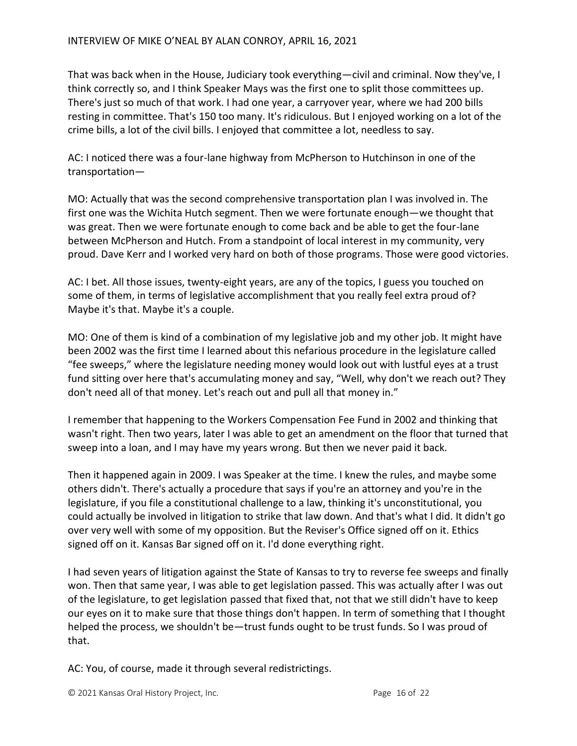That was back when in the House, Judiciary took everything—civil and criminal. Now they've, I think correctly so, and I think Speaker Mays was the first one to split those committees up. There's just so much of that work. I had one year, a carryover year, where we had 200 bills resting in committee. That's 150 too many. It's ridiculous. But I enjoyed working on a lot of the crime bills, a lot of the civil bills. I enjoyed that committee a lot, needless to say.

AC: I noticed there was a four-lane highway from McPherson to Hutchinson in one of the transportation—

MO: Actually that was the second comprehensive transportation plan I was involved in. The first one was the Wichita Hutch segment. Then we were fortunate enough—we thought that was great. Then we were fortunate enough to come back and be able to get the four-lane between McPherson and Hutch. From a standpoint of local interest in my community, very proud. Dave Kerr and I worked very hard on both of those programs. Those were good victories.

AC: I bet. All those issues, twenty-eight years, are any of the topics, I guess you touched on some of them, in terms of legislative accomplishment that you really feel extra proud of? Maybe it's that. Maybe it's a couple.

MO: One of them is kind of a combination of my legislative job and my other job. It might have been 2002 was the first time I learned about this nefarious procedure in the legislature called "fee sweeps," where the legislature needing money would look out with lustful eyes at a trust fund sitting over here that's accumulating money and say, "Well, why don't we reach out? They don't need all of that money. Let's reach out and pull all that money in."

I remember that happening to the Workers Compensation Fee Fund in 2002 and thinking that wasn't right. Then two years, later I was able to get an amendment on the floor that turned that sweep into a loan, and I may have my years wrong. But then we never paid it back.

Then it happened again in 2009. I was Speaker at the time. I knew the rules, and maybe some others didn't. There's actually a procedure that says if you're an attorney and you're in the legislature, if you file a constitutional challenge to a law, thinking it's unconstitutional, you could actually be involved in litigation to strike that law down. And that's what I did. It didn't go over very well with some of my opposition. But the Reviser's Office signed off on it. Ethics signed off on it. Kansas Bar signed off on it. I'd done everything right.

I had seven years of litigation against the State of Kansas to try to reverse fee sweeps and finally won. Then that same year, I was able to get legislation passed. This was actually after I was out of the legislature, to get legislation passed that fixed that, not that we still didn't have to keep our eyes on it to make sure that those things don't happen. In term of something that I thought helped the process, we shouldn't be—trust funds ought to be trust funds. So I was proud of that.

AC: You, of course, made it through several redistrictings.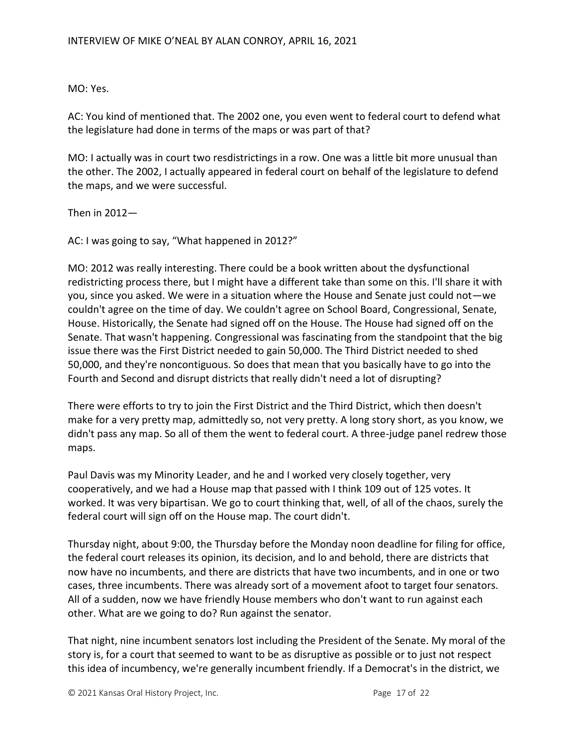MO: Yes.

AC: You kind of mentioned that. The 2002 one, you even went to federal court to defend what the legislature had done in terms of the maps or was part of that?

MO: I actually was in court two resdistrictings in a row. One was a little bit more unusual than the other. The 2002, I actually appeared in federal court on behalf of the legislature to defend the maps, and we were successful.

Then in 2012—

AC: I was going to say, "What happened in 2012?"

MO: 2012 was really interesting. There could be a book written about the dysfunctional redistricting process there, but I might have a different take than some on this. I'll share it with you, since you asked. We were in a situation where the House and Senate just could not—we couldn't agree on the time of day. We couldn't agree on School Board, Congressional, Senate, House. Historically, the Senate had signed off on the House. The House had signed off on the Senate. That wasn't happening. Congressional was fascinating from the standpoint that the big issue there was the First District needed to gain 50,000. The Third District needed to shed 50,000, and they're noncontiguous. So does that mean that you basically have to go into the Fourth and Second and disrupt districts that really didn't need a lot of disrupting?

There were efforts to try to join the First District and the Third District, which then doesn't make for a very pretty map, admittedly so, not very pretty. A long story short, as you know, we didn't pass any map. So all of them the went to federal court. A three-judge panel redrew those maps.

Paul Davis was my Minority Leader, and he and I worked very closely together, very cooperatively, and we had a House map that passed with I think 109 out of 125 votes. It worked. It was very bipartisan. We go to court thinking that, well, of all of the chaos, surely the federal court will sign off on the House map. The court didn't.

Thursday night, about 9:00, the Thursday before the Monday noon deadline for filing for office, the federal court releases its opinion, its decision, and lo and behold, there are districts that now have no incumbents, and there are districts that have two incumbents, and in one or two cases, three incumbents. There was already sort of a movement afoot to target four senators. All of a sudden, now we have friendly House members who don't want to run against each other. What are we going to do? Run against the senator.

That night, nine incumbent senators lost including the President of the Senate. My moral of the story is, for a court that seemed to want to be as disruptive as possible or to just not respect this idea of incumbency, we're generally incumbent friendly. If a Democrat's in the district, we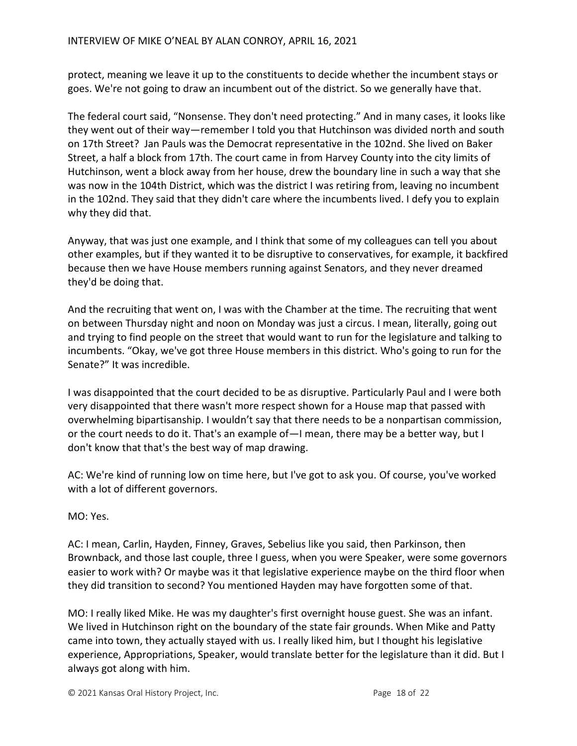protect, meaning we leave it up to the constituents to decide whether the incumbent stays or goes. We're not going to draw an incumbent out of the district. So we generally have that.

The federal court said, "Nonsense. They don't need protecting." And in many cases, it looks like they went out of their way—remember I told you that Hutchinson was divided north and south on 17th Street? Jan Pauls was the Democrat representative in the 102nd. She lived on Baker Street, a half a block from 17th. The court came in from Harvey County into the city limits of Hutchinson, went a block away from her house, drew the boundary line in such a way that she was now in the 104th District, which was the district I was retiring from, leaving no incumbent in the 102nd. They said that they didn't care where the incumbents lived. I defy you to explain why they did that.

Anyway, that was just one example, and I think that some of my colleagues can tell you about other examples, but if they wanted it to be disruptive to conservatives, for example, it backfired because then we have House members running against Senators, and they never dreamed they'd be doing that.

And the recruiting that went on, I was with the Chamber at the time. The recruiting that went on between Thursday night and noon on Monday was just a circus. I mean, literally, going out and trying to find people on the street that would want to run for the legislature and talking to incumbents. "Okay, we've got three House members in this district. Who's going to run for the Senate?" It was incredible.

I was disappointed that the court decided to be as disruptive. Particularly Paul and I were both very disappointed that there wasn't more respect shown for a House map that passed with overwhelming bipartisanship. I wouldn't say that there needs to be a nonpartisan commission, or the court needs to do it. That's an example of—I mean, there may be a better way, but I don't know that that's the best way of map drawing.

AC: We're kind of running low on time here, but I've got to ask you. Of course, you've worked with a lot of different governors.

MO: Yes.

AC: I mean, Carlin, Hayden, Finney, Graves, Sebelius like you said, then Parkinson, then Brownback, and those last couple, three I guess, when you were Speaker, were some governors easier to work with? Or maybe was it that legislative experience maybe on the third floor when they did transition to second? You mentioned Hayden may have forgotten some of that.

MO: I really liked Mike. He was my daughter's first overnight house guest. She was an infant. We lived in Hutchinson right on the boundary of the state fair grounds. When Mike and Patty came into town, they actually stayed with us. I really liked him, but I thought his legislative experience, Appropriations, Speaker, would translate better for the legislature than it did. But I always got along with him.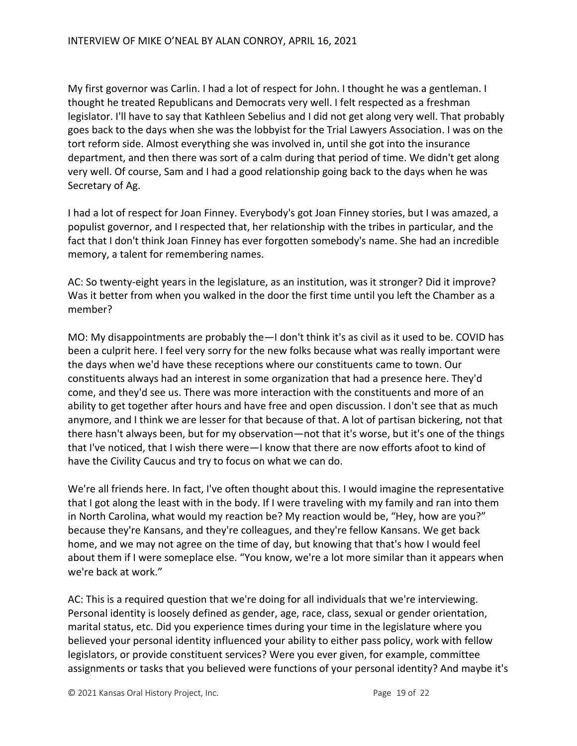My first governor was Carlin. I had a lot of respect for John. I thought he was a gentleman. I thought he treated Republicans and Democrats very well. I felt respected as a freshman legislator. I'll have to say that Kathleen Sebelius and I did not get along very well. That probably goes back to the days when she was the lobbyist for the Trial Lawyers Association. I was on the tort reform side. Almost everything she was involved in, until she got into the insurance department, and then there was sort of a calm during that period of time. We didn't get along very well. Of course, Sam and I had a good relationship going back to the days when he was Secretary of Ag.

I had a lot of respect for Joan Finney. Everybody's got Joan Finney stories, but I was amazed, a populist governor, and I respected that, her relationship with the tribes in particular, and the fact that I don't think Joan Finney has ever forgotten somebody's name. She had an incredible memory, a talent for remembering names.

AC: So twenty-eight years in the legislature, as an institution, was it stronger? Did it improve? Was it better from when you walked in the door the first time until you left the Chamber as a member?

MO: My disappointments are probably the—I don't think it's as civil as it used to be. COVID has been a culprit here. I feel very sorry for the new folks because what was really important were the days when we'd have these receptions where our constituents came to town. Our constituents always had an interest in some organization that had a presence here. They'd come, and they'd see us. There was more interaction with the constituents and more of an ability to get together after hours and have free and open discussion. I don't see that as much anymore, and I think we are lesser for that because of that. A lot of partisan bickering, not that there hasn't always been, but for my observation—not that it's worse, but it's one of the things that I've noticed, that I wish there were—I know that there are now efforts afoot to kind of have the Civility Caucus and try to focus on what we can do.

We're all friends here. In fact, I've often thought about this. I would imagine the representative that I got along the least with in the body. If I were traveling with my family and ran into them in North Carolina, what would my reaction be? My reaction would be, "Hey, how are you?" because they're Kansans, and they're colleagues, and they're fellow Kansans. We get back home, and we may not agree on the time of day, but knowing that that's how I would feel about them if I were someplace else. "You know, we're a lot more similar than it appears when we're back at work."

AC: This is a required question that we're doing for all individuals that we're interviewing. Personal identity is loosely defined as gender, age, race, class, sexual or gender orientation, marital status, etc. Did you experience times during your time in the legislature where you believed your personal identity influenced your ability to either pass policy, work with fellow legislators, or provide constituent services? Were you ever given, for example, committee assignments or tasks that you believed were functions of your personal identity? And maybe it's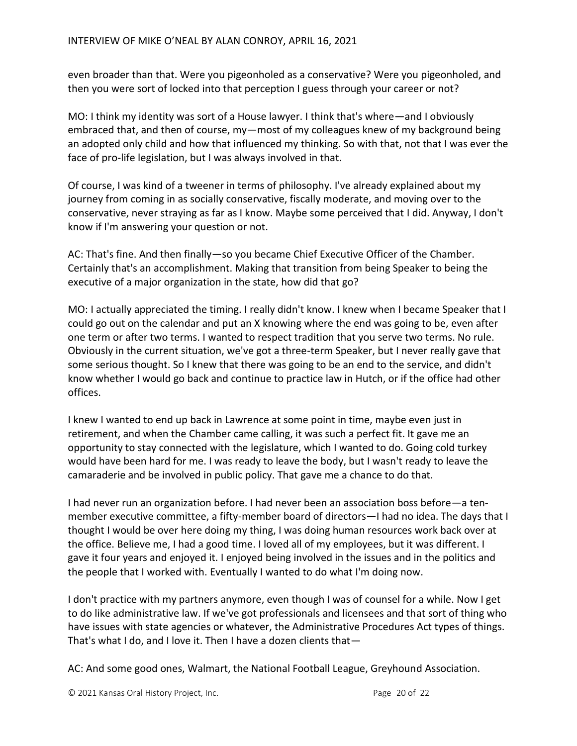even broader than that. Were you pigeonholed as a conservative? Were you pigeonholed, and then you were sort of locked into that perception I guess through your career or not?

MO: I think my identity was sort of a House lawyer. I think that's where—and I obviously embraced that, and then of course, my—most of my colleagues knew of my background being an adopted only child and how that influenced my thinking. So with that, not that I was ever the face of pro-life legislation, but I was always involved in that.

Of course, I was kind of a tweener in terms of philosophy. I've already explained about my journey from coming in as socially conservative, fiscally moderate, and moving over to the conservative, never straying as far as I know. Maybe some perceived that I did. Anyway, I don't know if I'm answering your question or not.

AC: That's fine. And then finally—so you became Chief Executive Officer of the Chamber. Certainly that's an accomplishment. Making that transition from being Speaker to being the executive of a major organization in the state, how did that go?

MO: I actually appreciated the timing. I really didn't know. I knew when I became Speaker that I could go out on the calendar and put an X knowing where the end was going to be, even after one term or after two terms. I wanted to respect tradition that you serve two terms. No rule. Obviously in the current situation, we've got a three-term Speaker, but I never really gave that some serious thought. So I knew that there was going to be an end to the service, and didn't know whether I would go back and continue to practice law in Hutch, or if the office had other offices.

I knew I wanted to end up back in Lawrence at some point in time, maybe even just in retirement, and when the Chamber came calling, it was such a perfect fit. It gave me an opportunity to stay connected with the legislature, which I wanted to do. Going cold turkey would have been hard for me. I was ready to leave the body, but I wasn't ready to leave the camaraderie and be involved in public policy. That gave me a chance to do that.

I had never run an organization before. I had never been an association boss before—a tenmember executive committee, a fifty-member board of directors—I had no idea. The days that I thought I would be over here doing my thing, I was doing human resources work back over at the office. Believe me, I had a good time. I loved all of my employees, but it was different. I gave it four years and enjoyed it. I enjoyed being involved in the issues and in the politics and the people that I worked with. Eventually I wanted to do what I'm doing now.

I don't practice with my partners anymore, even though I was of counsel for a while. Now I get to do like administrative law. If we've got professionals and licensees and that sort of thing who have issues with state agencies or whatever, the Administrative Procedures Act types of things. That's what I do, and I love it. Then I have a dozen clients that—

AC: And some good ones, Walmart, the National Football League, Greyhound Association.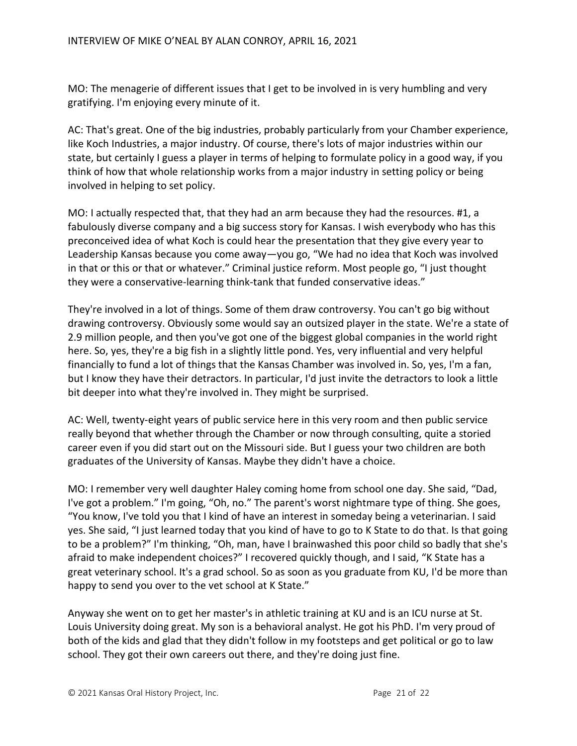MO: The menagerie of different issues that I get to be involved in is very humbling and very gratifying. I'm enjoying every minute of it.

AC: That's great. One of the big industries, probably particularly from your Chamber experience, like Koch Industries, a major industry. Of course, there's lots of major industries within our state, but certainly I guess a player in terms of helping to formulate policy in a good way, if you think of how that whole relationship works from a major industry in setting policy or being involved in helping to set policy.

MO: I actually respected that, that they had an arm because they had the resources. #1, a fabulously diverse company and a big success story for Kansas. I wish everybody who has this preconceived idea of what Koch is could hear the presentation that they give every year to Leadership Kansas because you come away—you go, "We had no idea that Koch was involved in that or this or that or whatever." Criminal justice reform. Most people go, "I just thought they were a conservative-learning think-tank that funded conservative ideas."

They're involved in a lot of things. Some of them draw controversy. You can't go big without drawing controversy. Obviously some would say an outsized player in the state. We're a state of 2.9 million people, and then you've got one of the biggest global companies in the world right here. So, yes, they're a big fish in a slightly little pond. Yes, very influential and very helpful financially to fund a lot of things that the Kansas Chamber was involved in. So, yes, I'm a fan, but I know they have their detractors. In particular, I'd just invite the detractors to look a little bit deeper into what they're involved in. They might be surprised.

AC: Well, twenty-eight years of public service here in this very room and then public service really beyond that whether through the Chamber or now through consulting, quite a storied career even if you did start out on the Missouri side. But I guess your two children are both graduates of the University of Kansas. Maybe they didn't have a choice.

MO: I remember very well daughter Haley coming home from school one day. She said, "Dad, I've got a problem." I'm going, "Oh, no." The parent's worst nightmare type of thing. She goes, "You know, I've told you that I kind of have an interest in someday being a veterinarian. I said yes. She said, "I just learned today that you kind of have to go to K State to do that. Is that going to be a problem?" I'm thinking, "Oh, man, have I brainwashed this poor child so badly that she's afraid to make independent choices?" I recovered quickly though, and I said, "K State has a great veterinary school. It's a grad school. So as soon as you graduate from KU, I'd be more than happy to send you over to the vet school at K State."

Anyway she went on to get her master's in athletic training at KU and is an ICU nurse at St. Louis University doing great. My son is a behavioral analyst. He got his PhD. I'm very proud of both of the kids and glad that they didn't follow in my footsteps and get political or go to law school. They got their own careers out there, and they're doing just fine.